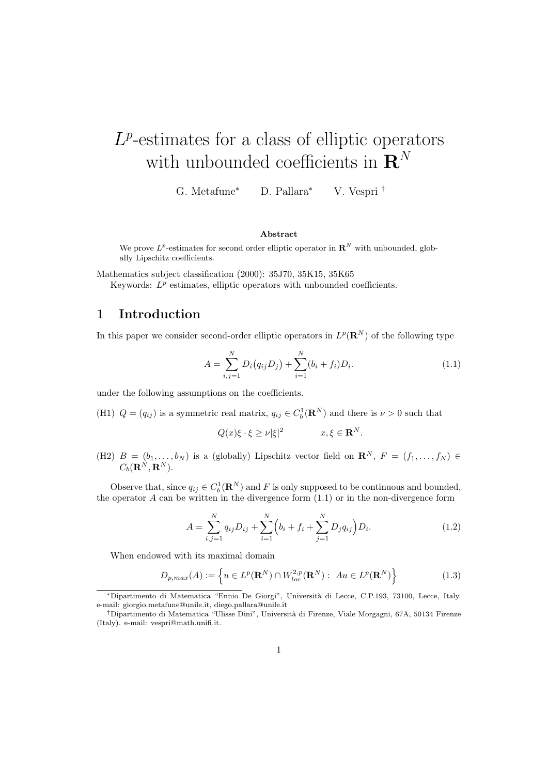# $L^p$ -estimates for a class of elliptic operators with unbounded coefficients in  $\mathbf{R}^N$

G. Metafune<sup>∗</sup> D. Pallara<sup>∗</sup> V. Vespri †

#### Abstract

We prove  $L^p$ -estimates for second order elliptic operator in  $\mathbb{R}^N$  with unbounded, globally Lipschitz coefficients.

Mathematics subject classification (2000): 35J70, 35K15, 35K65

Keywords:  $L^p$  estimates, elliptic operators with unbounded coefficients.

# 1 Introduction

In this paper we consider second-order elliptic operators in  $L^p(\mathbf{R}^N)$  of the following type

$$
A = \sum_{i,j=1}^{N} D_i(q_{ij}D_j) + \sum_{i=1}^{N} (b_i + f_i)D_i.
$$
 (1.1)

under the following assumptions on the coefficients.

(H1)  $Q = (q_{ij})$  is a symmetric real matrix,  $q_{ij} \in C_b^1(\mathbf{R}^N)$  and there is  $\nu > 0$  such that

$$
Q(x)\xi \cdot \xi \ge \nu |\xi|^2 \qquad x, \xi \in \mathbf{R}^N.
$$

(H2)  $B = (b_1, \ldots, b_N)$  is a (globally) Lipschitz vector field on  $\mathbb{R}^N$ ,  $F = (f_1, \ldots, f_N)$  $C_b({\bf R}^N, {\bf R}^N).$ 

Observe that, since  $q_{ij} \in C_b^1(\mathbf{R}^N)$  and F is only supposed to be continuous and bounded, the operator  $A$  can be written in the divergence form  $(1.1)$  or in the non-divergence form

$$
A = \sum_{i,j=1}^{N} q_{ij} D_{ij} + \sum_{i=1}^{N} \left( b_i + f_i + \sum_{j=1}^{N} D_j q_{ij} \right) D_i.
$$
 (1.2)

When endowed with its maximal domain

$$
D_{p,max}(A) := \left\{ u \in L^p(\mathbf{R}^N) \cap W_{loc}^{2,p}(\mathbf{R}^N) : Au \in L^p(\mathbf{R}^N) \right\}
$$
(1.3)

<sup>∗</sup>Dipartimento di Matematica "Ennio De Giorgi", Universit`a di Lecce, C.P.193, 73100, Lecce, Italy. e-mail: giorgio.metafune@unile.it, diego.pallara@unile.it

<sup>†</sup>Dipartimento di Matematica "Ulisse Dini", Università di Firenze, Viale Morgagni, 67A, 50134 Firenze (Italy). e-mail: vespri@math.unifi.it.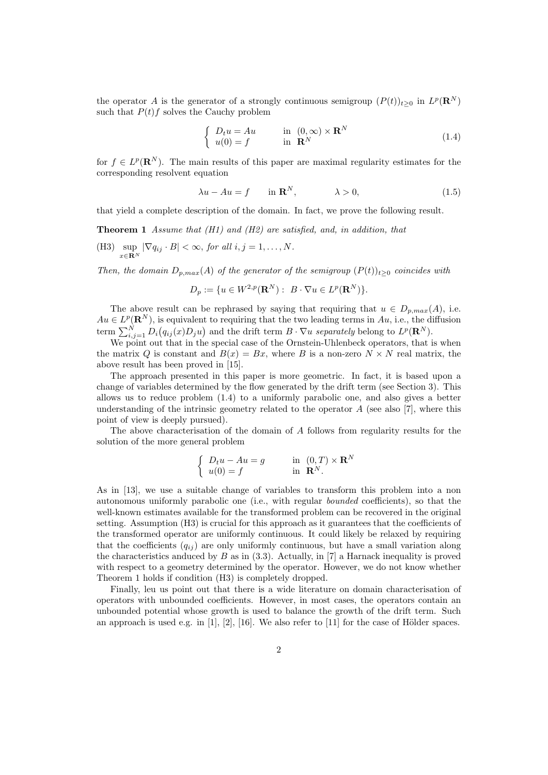the operator A is the generator of a strongly continuous semigroup  $(P(t))_{t\geq 0}$  in  $L^p(\mathbf{R}^N)$ such that  $P(t)f$  solves the Cauchy problem

$$
\begin{cases}\nD_t u = Au & \text{in } (0, \infty) \times \mathbf{R}^N \\
u(0) = f & \text{in } \mathbf{R}^N\n\end{cases}
$$
\n(1.4)

for  $f \in L^p(\mathbf{R}^N)$ . The main results of this paper are maximal regularity estimates for the corresponding resolvent equation

$$
\lambda u - Au = f \qquad \text{in } \mathbf{R}^N, \qquad \lambda > 0,
$$
\n(1.5)

that yield a complete description of the domain. In fact, we prove the following result.

**Theorem 1** Assume that  $(H1)$  and  $(H2)$  are satisfied, and, in addition, that

(H3) sup  $\sup_{x \in \mathbf{R}^N} |\nabla q_{ij} \cdot B| < \infty$ , for all  $i, j = 1, \dots, N$ .

Then, the domain  $D_{p,max}(A)$  of the generator of the semigroup  $(P(t))_{t>0}$  coincides with

$$
D_p := \{ u \in W^{2,p}(\mathbf{R}^N) : B \cdot \nabla u \in L^p(\mathbf{R}^N) \}.
$$

The above result can be rephrased by saying that requiring that  $u \in D_{p,max}(A)$ , i.e.  $Au \in L^p(\mathbf{R}^N)$ , is equivalent to requiring that the two leading terms in  $Au$ , i.e., the diffusion term  $\sum_{i,j=1}^{N} D_i(q_{ij}(x)D_j u)$  and the drift term  $B \cdot \nabla u$  separately belong to  $L^p(\mathbf{R}^N)$ .

We point out that in the special case of the Ornstein-Uhlenbeck operators, that is when the matrix Q is constant and  $B(x) = Bx$ , where B is a non-zero  $N \times N$  real matrix, the above result has been proved in [15].

The approach presented in this paper is more geometric. In fact, it is based upon a change of variables determined by the flow generated by the drift term (see Section 3). This allows us to reduce problem (1.4) to a uniformly parabolic one, and also gives a better understanding of the intrinsic geometry related to the operator  $A$  (see also [7], where this point of view is deeply pursued).

The above characterisation of the domain of A follows from regularity results for the solution of the more general problem

$$
\begin{cases} D_t u - Au = g & \text{in } (0, T) \times \mathbf{R}^N \\ u(0) = f & \text{in } \mathbf{R}^N. \end{cases}
$$

As in [13], we use a suitable change of variables to transform this problem into a non autonomous uniformly parabolic one (i.e., with regular bounded coefficients), so that the well-known estimates available for the transformed problem can be recovered in the original setting. Assumption (H3) is crucial for this approach as it guarantees that the coefficients of the transformed operator are uniformly continuous. It could likely be relaxed by requiring that the coefficients  $(q_{ij})$  are only uniformly continuous, but have a small variation along the characteristics anduced by  $B$  as in (3.3). Actually, in [7] a Harnack inequality is proved with respect to a geometry determined by the operator. However, we do not know whether Theorem 1 holds if condition (H3) is completely dropped.

Finally, leu us point out that there is a wide literature on domain characterisation of operators with unbounded coefficients. However, in most cases, the operators contain an unbounded potential whose growth is used to balance the growth of the drift term. Such an approach is used e.g. in  $[1], [2], [16]$ . We also refer to  $[11]$  for the case of Hölder spaces.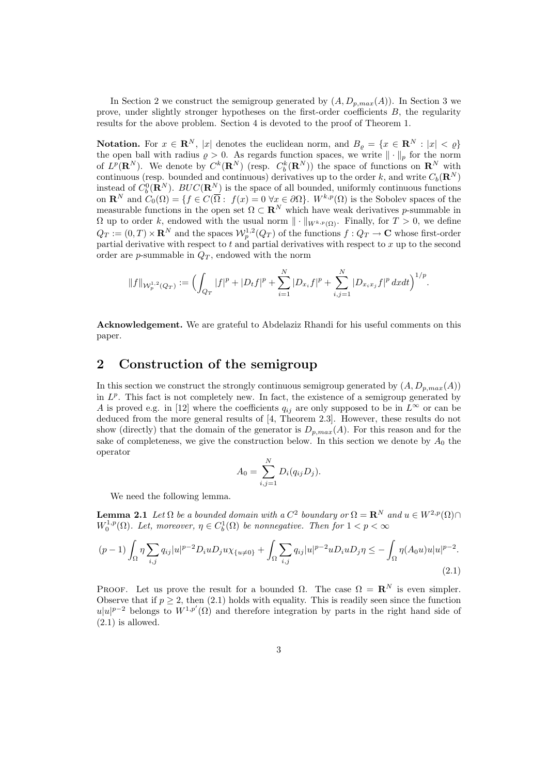In Section 2 we construct the semigroup generated by  $(A, D_{p,max}(A))$ . In Section 3 we prove, under slightly stronger hypotheses on the first-order coefficients B, the regularity results for the above problem. Section 4 is devoted to the proof of Theorem 1.

Notation. For  $x \in \mathbb{R}^N$ , |x| denotes the euclidean norm, and  $B_{\varrho} = \{x \in \mathbb{R}^N : |x| < \varrho\}$ the open ball with radius  $\rho > 0$ . As regards function spaces, we write  $\|\cdot\|_p$  for the norm of  $L^p(\mathbf{R}^N)$ . We denote by  $C^k(\mathbf{R}^N)$  (resp.  $C_b^k(\mathbf{R}^N)$ ) the space of functions on  $\mathbf{R}^N$  with continuous (resp. bounded and continuous) derivatives up to the order k, and write  $C_b(\mathbf{R}^N)$ instead of  $C_b^0(\mathbf{R}^N)$ .  $BUC(\mathbf{R}^N)$  is the space of all bounded, uniformly continuous functions on  $\mathbf{R}^N$  and  $C_0(\Omega) = \{f \in C(\overline{\Omega} : f(x) = 0 \,\forall x \in \partial\Omega\}$ .  $W^{k,p}(\Omega)$  is the Sobolev spaces of the measurable functions in the open set  $\Omega \subset \mathbb{R}^N$  which have weak derivatives p-summable in  $\Omega$  up to order k, endowed with the usual norm  $\|\cdot\|_{W^{k,p}(\Omega)}$ . Finally, for  $T > 0$ , we define  $Q_T := (0,T) \times \mathbf{R}^N$  and the spaces  $\mathcal{W}_p^{1,2}(Q_T)$  of the functions  $f: Q_T \to \mathbf{C}$  whose first-order partial derivative with respect to t and partial derivatives with respect to x up to the second order are *p*-summable in  $Q_T$ , endowed with the norm

$$
||f||_{\mathcal{W}_p^{1,2}(Q_T)} := \Big(\int_{Q_T} |f|^p + |D_t f|^p + \sum_{i=1}^N |D_{x_i} f|^p + \sum_{i,j=1}^N |D_{x_ix_j} f|^p \, dxdt\Big)^{1/p}.
$$

Acknowledgement. We are grateful to Abdelaziz Rhandi for his useful comments on this paper.

# 2 Construction of the semigroup

In this section we construct the strongly continuous semigroup generated by  $(A, D_{p,max}(A))$ in  $L^p$ . This fact is not completely new. In fact, the existence of a semigroup generated by A is proved e.g. in [12] where the coefficients  $q_{ij}$  are only supposed to be in  $L^{\infty}$  or can be deduced from the more general results of [4, Theorem 2.3]. However, these results do not show (directly) that the domain of the generator is  $D_{p,max}(A)$ . For this reason and for the sake of completeness, we give the construction below. In this section we denote by  $A_0$  the operator

$$
A_0 = \sum_{i,j=1}^{N} D_i(q_{ij} D_j).
$$

We need the following lemma.

**Lemma 2.1** Let  $\Omega$  be a bounded domain with a  $C^2$  boundary or  $\Omega = \mathbb{R}^N$  and  $u \in W^{2,p}(\Omega) \cap$  $W_0^{1,p}(\Omega)$ . Let, moreover,  $\eta \in C_b^1(\Omega)$  be nonnegative. Then for  $1 < p < \infty$ 

$$
(p-1)\int_{\Omega} \eta \sum_{i,j} q_{ij} |u|^{p-2} D_i u D_j u \chi_{\{u \neq 0\}} + \int_{\Omega} \sum_{i,j} q_{ij} |u|^{p-2} u D_i u D_j \eta \leq - \int_{\Omega} \eta (A_0 u) u |u|^{p-2}.
$$
\n(2.1)

PROOF. Let us prove the result for a bounded  $\Omega$ . The case  $\Omega = \mathbb{R}^N$  is even simpler. Observe that if  $p \geq 2$ , then (2.1) holds with equality. This is readily seen since the function  $u|u|^{p-2}$  belongs to  $W^{1,p'}(\Omega)$  and therefore integration by parts in the right hand side of (2.1) is allowed.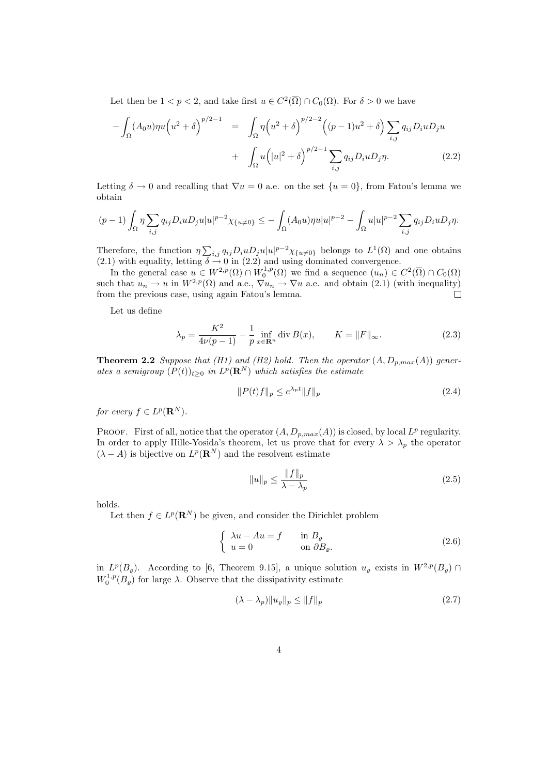Let then be  $1 < p < 2$ , and take first  $u \in C^2(\overline{\Omega}) \cap C_0(\Omega)$ . For  $\delta > 0$  we have

$$
-\int_{\Omega} (A_0 u) \eta u (u^2 + \delta)^{p/2 - 1} = \int_{\Omega} \eta (u^2 + \delta)^{p/2 - 2} ((p - 1)u^2 + \delta) \sum_{i,j} q_{ij} D_i u D_j u + \int_{\Omega} u (|u|^2 + \delta)^{p/2 - 1} \sum_{i,j} q_{ij} D_i u D_j \eta.
$$
 (2.2)

Letting  $\delta \to 0$  and recalling that  $\nabla u = 0$  a.e. on the set  $\{u = 0\}$ , from Fatou's lemma we obtain

$$
(p-1)\int_{\Omega} \eta \sum_{i,j} q_{ij} D_i u D_j u |u|^{p-2} \chi_{\{u \neq 0\}} \leq -\int_{\Omega} (A_0 u) \eta u |u|^{p-2} - \int_{\Omega} u |u|^{p-2} \sum_{i,j} q_{ij} D_i u D_j \eta.
$$

Therefore, the function  $\eta \sum_{i,j} q_{ij} D_i u D_j u |u|^{p-2} \chi_{\{u \neq 0\}}$  belongs to  $L^1(\Omega)$  and one obtains (2.1) with equality, letting  $\delta \rightarrow 0$  in (2.2) and using dominated convergence.

In the general case  $u \in W^{2,p}(\Omega) \cap W_0^{1,p}(\Omega)$  we find a sequence  $(u_n) \in C^2(\overline{\Omega}) \cap C_0(\Omega)$ such that  $u_n \to u$  in  $W^{2,p}(\Omega)$  and a.e.,  $\nabla u_n \to \nabla u$  a.e. and obtain (2.1) (with inequality) from the previous case, using again Fatou's lemma.  $\Box$ 

Let us define

$$
\lambda_p = \frac{K^2}{4\nu(p-1)} - \frac{1}{p} \inf_{x \in \mathbf{R}^n} \text{div } B(x), \qquad K = \|F\|_{\infty}.
$$
 (2.3)

**Theorem 2.2** Suppose that (H1) and (H2) hold. Then the operator  $(A, D_{p,max}(A))$  generates a semigroup  $(P(t))_{t\geq 0}$  in  $L^p(\mathbf{R}^N)$  which satisfies the estimate

$$
||P(t)f||_p \le e^{\lambda_p t} ||f||_p \tag{2.4}
$$

for every  $f \in L^p(\mathbf{R}^N)$ .

PROOF. First of all, notice that the operator  $(A, D_{p,max}(A))$  is closed, by local  $L^p$  regularity. In order to apply Hille-Yosida's theorem, let us prove that for every  $\lambda > \lambda_p$  the operator  $(\lambda - A)$  is bijective on  $L^p(\mathbf{R}^N)$  and the resolvent estimate

$$
||u||_p \le \frac{||f||_p}{\lambda - \lambda_p} \tag{2.5}
$$

holds.

Let then  $f \in L^p(\mathbf{R}^N)$  be given, and consider the Dirichlet problem

$$
\begin{cases} \lambda u - Au = f & \text{in } B_{\varrho} \\ u = 0 & \text{on } \partial B_{\varrho} . \end{cases}
$$
 (2.6)

in  $L^p(B_\rho)$ . According to [6, Theorem 9.15], a unique solution  $u_\rho$  exists in  $W^{2,p}(B_\rho)$  $W_0^{1,p}(B_\varrho)$  for large  $\lambda$ . Observe that the dissipativity estimate

$$
(\lambda - \lambda_p) \|u_\varrho\|_p \le \|f\|_p \tag{2.7}
$$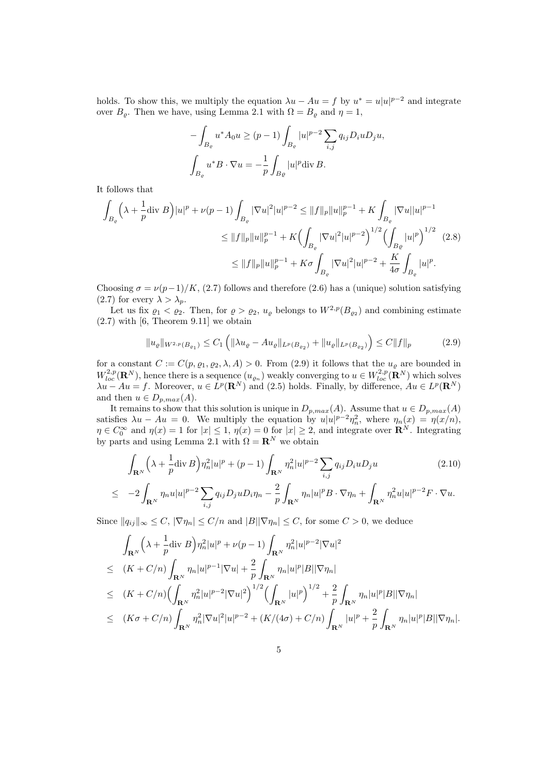holds. To show this, we multiply the equation  $\lambda u - Au = f$  by  $u^* = u|u|^{p-2}$  and integrate over  $B_{\varrho}$ . Then we have, using Lemma 2.1 with  $\Omega = B_{\varrho}$  and  $\eta = 1$ ,

$$
-\int_{B_{\varrho}} u^* A_0 u \ge (p-1) \int_{B_{\varrho}} |u|^{p-2} \sum_{i,j} q_{ij} D_i u D_j u,
$$
  

$$
\int_{B_{\varrho}} u^* B \cdot \nabla u = -\frac{1}{p} \int_{B_{\varrho}} |u|^p \text{div } B.
$$

It follows that

$$
\int_{B_{\varrho}} \left(\lambda + \frac{1}{p} \operatorname{div} B\right) |u|^p + \nu(p-1) \int_{B_{\varrho}} |\nabla u|^2 |u|^{p-2} \le ||f||_p \|u\|_p^{p-1} + K \int_{B_{\varrho}} |\nabla u||u|^{p-1}
$$
  

$$
\le ||f||_p \|u\|_p^{p-1} + K \Bigl(\int_{B_{\varrho}} |\nabla u|^2 |u|^{p-2}\Bigr)^{1/2} \Bigl(\int_{B_{\varrho}} |u|^p\Bigr)^{1/2} \tag{2.8}
$$
  

$$
\le ||f||_p \|u\|_p^{p-1} + K\sigma \int_{B_{\varrho}} |\nabla u|^2 |u|^{p-2} + \frac{K}{4\sigma} \int_{B_{\varrho}} |u|^p.
$$

Choosing  $\sigma = \nu(p-1)/K$ , (2.7) follows and therefore (2.6) has a (unique) solution satisfying (2.7) for every  $\lambda > \lambda_p$ .

Let us fix  $\varrho_1 < \varrho_2$ . Then, for  $\varrho > \varrho_2$ ,  $u_\varrho$  belongs to  $W^{2,p}(B_{\varrho_2})$  and combining estimate  $(2.7)$  with  $[6,$  Theorem 9.11 we obtain

$$
||u_{\varrho}||_{W^{2,p}(B_{\varrho_1})} \le C_1 \left( ||\lambda u_{\varrho} - Au_{\varrho}||_{L^p(B_{\varrho_2})} + ||u_{\varrho}||_{L^p(B_{\varrho_2})} \right) \le C ||f||_p \tag{2.9}
$$

for a constant  $C := C(p, \varrho_1, \varrho_2, \lambda, A) > 0$ . From (2.9) it follows that the  $u_{\varrho}$  are bounded in  $W^{2,p}_{loc}(\mathbf{R}^N)$ , hence there is a sequence  $(u_{\varrho_n})$  weakly converging to  $u \in W^{2,p}_{loc}(\mathbf{R}^N)$  which solves  $\lambda u - Au = f$ . Moreover,  $u \in L^p(\mathbf{R}^N)$  and (2.5) holds. Finally, by difference,  $Au \in L^p(\mathbf{R}^N)$ and then  $u \in D_{p,max}(A)$ .

It remains to show that this solution is unique in  $D_{p,max}(A)$ . Assume that  $u \in D_{p,max}(A)$ satisfies  $\lambda u - Au = 0$ . We multiply the equation by  $u|u|^{p-2}\eta_n^2$ , where  $\eta_n(x) = \eta(x/n)$ ,  $\eta \in C_0^{\infty}$  and  $\eta(x) = 1$  for  $|x| \leq 1$ ,  $\eta(x) = 0$  for  $|x| \geq 2$ , and integrate over  $\mathbb{R}^N$ . Integrating by parts and using Lemma 2.1 with  $\Omega = \mathbf{R}^N$  we obtain

$$
\int_{\mathbf{R}^N} \left( \lambda + \frac{1}{p} \text{div } B \right) \eta_n^2 |u|^p + (p - 1) \int_{\mathbf{R}^N} \eta_n^2 |u|^{p-2} \sum_{i,j} q_{ij} D_i u D_j u \tag{2.10}
$$
\n
$$
= 2 \int_{\mathbf{R}^N} \eta_n^2 |u|^{p-2} \sum_{i,j} q_{ij} D_i u D_j u = \frac{2}{\pi} \int_{\mathbf{R}^N} \eta_n |u|^p B \cdot \nabla n + \int_{\mathbf{R}^N} \eta_n^2 |u|^{p-2} F \cdot \nabla u
$$

$$
\leq -2\int_{\mathbf{R}^N}\eta_n u|u|^{p-2}\sum_{i,j}q_{ij}D_juD_i\eta_n-\frac{2}{p}\int_{\mathbf{R}^N}\eta_n|u|^pB\cdot\nabla\eta_n+\int_{\mathbf{R}^N}\eta_n^2u|u|^{p-2}F\cdot\nabla u.
$$

Since  $||q_{ij}||_{\infty} \leq C$ ,  $|\nabla \eta_n| \leq C/n$  and  $|B||\nabla \eta_n| \leq C$ , for some  $C > 0$ , we deduce

$$
\int_{\mathbf{R}^{N}} \left(\lambda + \frac{1}{p} \text{div } B\right) \eta_{n}^{2} |u|^{p} + \nu(p-1) \int_{\mathbf{R}^{N}} \eta_{n}^{2} |u|^{p-2} |\nabla u|^{2} \n\leq (K + C/n) \int_{\mathbf{R}^{N}} \eta_{n} |u|^{p-1} |\nabla u| + \frac{2}{p} \int_{\mathbf{R}^{N}} \eta_{n} |u|^{p} |B| |\nabla \eta_{n}| \n\leq (K + C/n) \left(\int_{\mathbf{R}^{N}} \eta_{n}^{2} |u|^{p-2} |\nabla u|^{2}\right)^{1/2} \left(\int_{\mathbf{R}^{N}} |u|^{p}\right)^{1/2} + \frac{2}{p} \int_{\mathbf{R}^{N}} \eta_{n} |u|^{p} |B| |\nabla \eta_{n}| \n\leq (K\sigma + C/n) \int_{\mathbf{R}^{N}} \eta_{n}^{2} |\nabla u|^{2} |u|^{p-2} + (K/(4\sigma) + C/n) \int_{\mathbf{R}^{N}} |u|^{p} + \frac{2}{p} \int_{\mathbf{R}^{N}} \eta_{n} |u|^{p} |B| |\nabla \eta_{n}|.
$$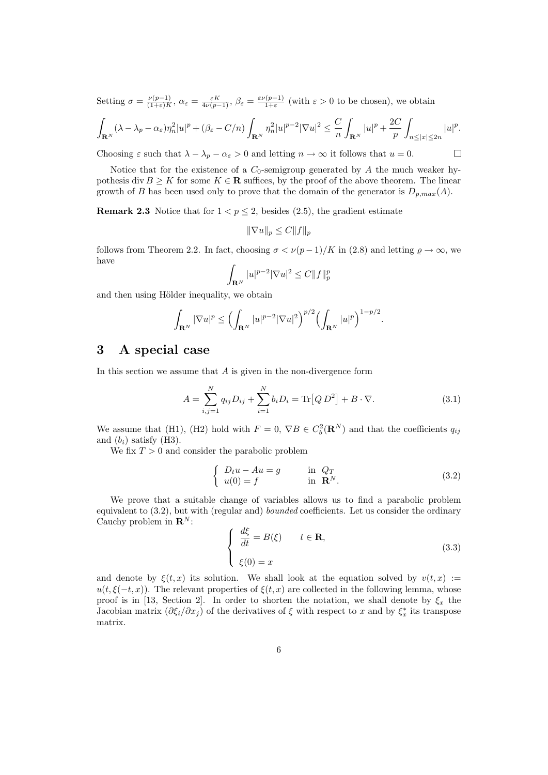Setting  $\sigma = \frac{\nu(p-1)}{(1+\varepsilon)K}$  $\frac{\nu(p-1)}{(1+\varepsilon)K}$ ,  $\alpha_{\varepsilon} = \frac{\varepsilon K}{4\nu(p-1)}$ ,  $\beta_{\varepsilon} = \frac{\varepsilon \nu(p-1)}{1+\varepsilon}$  $\frac{(\mathcal{P}-1)}{1+\varepsilon}$  (with  $\varepsilon > 0$  to be chosen), we obtain

$$
\int_{\mathbf{R}^N} (\lambda - \lambda_p - \alpha_\varepsilon) \eta_n^2 |u|^p + (\beta_\varepsilon - C/n) \int_{\mathbf{R}^N} \eta_n^2 |u|^{p-2} |\nabla u|^2 \leq \frac{C}{n} \int_{\mathbf{R}^N} |u|^p + \frac{2C}{p} \int_{n \leq |x| \leq 2n} |u|^p.
$$

Choosing  $\varepsilon$  such that  $\lambda - \lambda_p - \alpha_{\varepsilon} > 0$  and letting  $n \to \infty$  it follows that  $u = 0$ .

 $\Box$ 

Notice that for the existence of a  $C_0$ -semigroup generated by A the much weaker hypothesis div  $B \geq K$  for some  $K \in \mathbf{R}$  suffices, by the proof of the above theorem. The linear growth of B has been used only to prove that the domain of the generator is  $D_{p,max}(A)$ .

**Remark 2.3** Notice that for  $1 < p \le 2$ , besides (2.5), the gradient estimate

$$
\|\nabla u\|_p \le C \|f\|_p
$$

follows from Theorem 2.2. In fact, choosing  $\sigma < \nu(p-1)/K$  in (2.8) and letting  $\rho \to \infty$ , we have

$$
\int_{\mathbf{R}^N} |u|^{p-2} |\nabla u|^2 \le C \|f\|_p^p
$$

and then using Hölder inequality, we obtain

$$
\int_{\mathbf{R}^N} |\nabla u|^p \le \Bigl(\int_{\mathbf{R}^N} |u|^{p-2} |\nabla u|^2\Bigr)^{p/2} \Bigl(\int_{\mathbf{R}^N} |u|^p\Bigr)^{1-p/2}.
$$

## 3 A special case

In this section we assume that  $A$  is given in the non-divergence form

$$
A = \sum_{i,j=1}^{N} q_{ij} D_{ij} + \sum_{i=1}^{N} b_i D_i = \text{Tr}[Q D^2] + B \cdot \nabla.
$$
 (3.1)

We assume that (H1), (H2) hold with  $F = 0$ ,  $\nabla B \in C_b^2(\mathbf{R}^N)$  and that the coefficients  $q_{ij}$ and  $(b_i)$  satisfy (H3).

We fix  $T > 0$  and consider the parabolic problem

$$
\begin{cases}\nD_t u - Au = g & \text{in } Q_T \\
u(0) = f & \text{in } \mathbf{R}^N.\n\end{cases}
$$
\n(3.2)

We prove that a suitable change of variables allows us to find a parabolic problem equivalent to (3.2), but with (regular and) bounded coefficients. Let us consider the ordinary Cauchy problem in  $\mathbf{R}^{N}$ :

$$
\begin{cases}\n\frac{d\xi}{dt} = B(\xi) & t \in \mathbf{R}, \\
\xi(0) = x\n\end{cases}
$$
\n(3.3)

and denote by  $\xi(t, x)$  its solution. We shall look at the equation solved by  $v(t, x) :=$  $u(t, \xi(-t, x))$ . The relevant properties of  $\xi(t, x)$  are collected in the following lemma, whose proof is in [13, Section 2]. In order to shorten the notation, we shall denote by  $\xi_x$  the Jacobian matrix  $(\partial \xi_i/\partial x_j)$  of the derivatives of  $\xi$  with respect to x and by  $\xi_x^*$  its transpose matrix.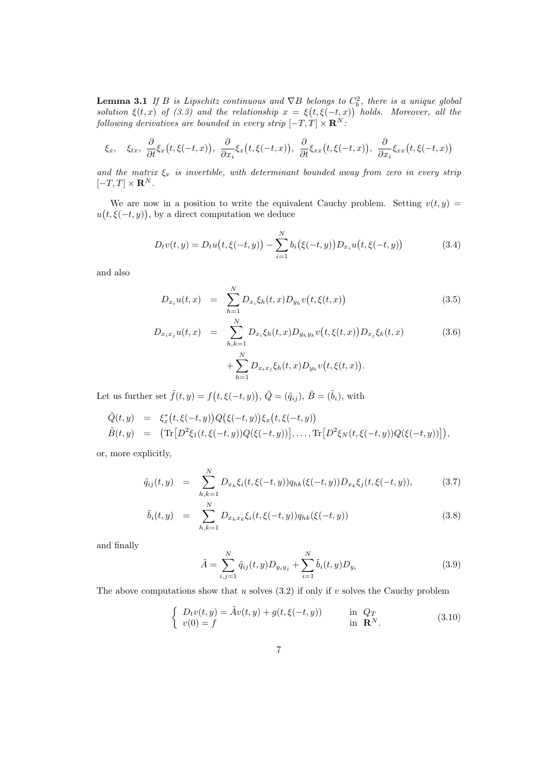**Lemma 3.1** If B is Lipschitz continuous and  $\nabla B$  belongs to  $C_b^2$ , there is a unique global solution  $\xi(t,x)$  of (3.3) and the relationship  $x = \xi(t,\xi(-t,x))$  holds. Moreover, all the following derivatives are bounded in every strip  $[-T, T] \times \mathbf{R}^{N}$ .

$$
\xi_x, \quad \xi_{tx}, \quad \frac{\partial}{\partial t}\xi_x(t,\xi(-t,x)), \quad \frac{\partial}{\partial x_i}\xi_x(t,\xi(-t,x)), \quad \frac{\partial}{\partial t}\xi_{xx}(t,\xi(-t,x)), \quad \frac{\partial}{\partial x_i}\xi_{xx}(t,\xi(-t,x))
$$

and the matrix  $\xi_x$  is invertible, with determinant bounded away from zero in every strip  $[-T, T] \times \mathbf{R}^{N}$ .

We are now in a position to write the equivalent Cauchy problem. Setting  $v(t, y)$  =  $u(t,\xi(-t,y))$ , by a direct computation we deduce

$$
D_t v(t, y) = D_t u(t, \xi(-t, y)) - \sum_{i=1}^{N} b_i(\xi(-t, y)) D_{x_i} u(t, \xi(-t, y))
$$
\n(3.4)

and also

$$
D_{x_i}u(t,x) = \sum_{h=1}^{N} D_{x_i}\xi_h(t,x)D_{y_h}v(t,\xi(t,x))
$$
\n(3.5)

$$
D_{x_ix_j}u(t,x) = \sum_{h,k=1}^{N} D_{x_i}\xi_h(t,x)D_{y_hy_k}v(t,\xi(t,x))D_{x_j}\xi_k(t,x)
$$
\n
$$
+\sum_{h=1}^{N} D_{x_ix_j}\xi_h(t,x)D_{y_h}v(t,\xi(t,x)).
$$
\n(3.6)

Let us further set  $\tilde{f}(t, y) = f(t, \xi(-t, y)), \tilde{Q} = (\tilde{q}_{ij}), \tilde{B} = (\tilde{b}_i)$ , with

$$
\tilde{Q}(t,y) = \xi_x^*(t,\xi(-t,y))Q(\xi(-t,y))\xi_x(t,\xi(-t,y))
$$
  
\n
$$
\tilde{B}(t,y) = (\text{Tr}[D^2\xi_1(t,\xi(-t,y))Q(\xi(-t,y))],..., \text{Tr}[D^2\xi_N(t,\xi(-t,y))Q(\xi(-t,y))]),
$$

or, more explicitly,

$$
\tilde{q}_{ij}(t,y) = \sum_{h,k=1}^{N} D_{x_h} \xi_i(t,\xi(-t,y)) q_{hk}(\xi(-t,y)) D_{x_k} \xi_j(t,\xi(-t,y)), \qquad (3.7)
$$

$$
\tilde{b}_i(t,y) = \sum_{h,k=1}^N D_{x_h x_k} \xi_i(t, \xi(-t,y)) q_{hk}(\xi(-t,y)) \tag{3.8}
$$

and finally

$$
\tilde{A} = \sum_{i,j=1}^{N} \tilde{q}_{ij}(t,y) D_{y_i y_j} + \sum_{i=1}^{N} \tilde{b}_i(t,y) D_{y_i}
$$
\n(3.9)

The above computations show that u solves  $(3.2)$  if only if v solves the Cauchy problem

$$
\begin{cases}\nD_t v(t, y) = \tilde{A}v(t, y) + g(t, \xi(-t, y)) & \text{in } Q_T \\
v(0) = f & \text{in } \mathbb{R}^N.\n\end{cases}
$$
\n(3.10)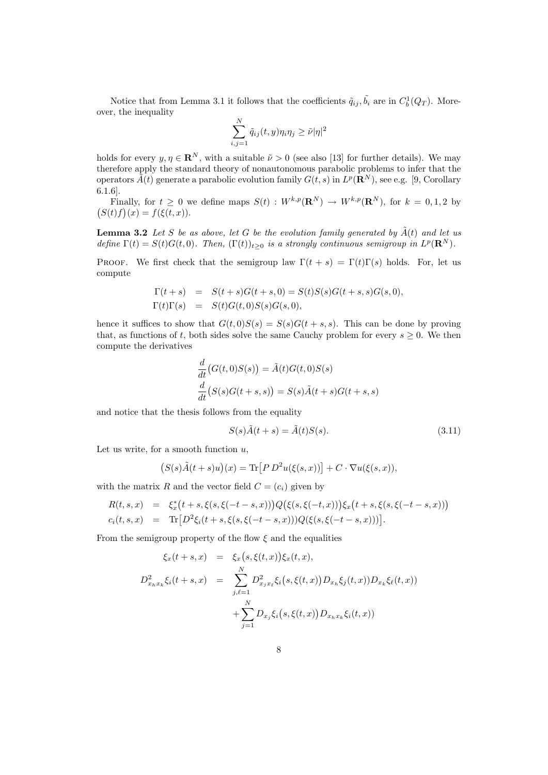Notice that from Lemma 3.1 it follows that the coefficients  $\tilde{q}_{ij}, \tilde{b}_i$  are in  $C_b^1(Q_T)$ . Moreover, the inequality

$$
\sum_{i,j=1}^N \tilde{q}_{ij}(t,y)\eta_i\eta_j \geq \tilde{\nu}|\eta|^2
$$

holds for every  $y, \eta \in \mathbb{R}^N$ , with a suitable  $\tilde{\nu} > 0$  (see also [13] for further details). We may therefore apply the standard theory of nonautonomous parabolic problems to infer that the operators  $\tilde{A}(t)$  generate a parabolic evolution family  $G(t, s)$  in  $L^p(\mathbf{R}^N)$ , see e.g. [9, Corollary 6.1.6].

Finally, for  $t \geq 0$  we define maps  $S(t) : W^{k,p}(\mathbf{R}^N) \to W^{k,p}(\mathbf{R}^N)$ , for  $k = 0,1,2$  by  $(S(t) f)(x) = f(\xi(t, x)).$ 

**Lemma 3.2** Let S be as above, let G be the evolution family generated by  $\tilde{A}(t)$  and let us define  $\Gamma(t) = S(t)G(t,0)$ . Then,  $(\Gamma(t))_{t\geq 0}$  is a strongly continuous semigroup in  $L^p(\mathbf{R}^N)$ .

PROOF. We first check that the semigroup law  $\Gamma(t + s) = \Gamma(t)\Gamma(s)$  holds. For, let us compute

$$
\Gamma(t+s) = S(t+s)G(t+s,0) = S(t)S(s)G(t+s,s)G(s,0),
$$
  
\n
$$
\Gamma(t)\Gamma(s) = S(t)G(t,0)S(s)G(s,0),
$$

hence it suffices to show that  $G(t, 0)S(s) = S(s)G(t + s, s)$ . This can be done by proving that, as functions of t, both sides solve the same Cauchy problem for every  $s \geq 0$ . We then compute the derivatives

$$
\frac{d}{dt}(G(t,0)S(s)) = \tilde{A}(t)G(t,0)S(s)
$$
\n
$$
\frac{d}{dt}(S(s)G(t+s,s)) = S(s)\tilde{A}(t+s)G(t+s,s)
$$

and notice that the thesis follows from the equality

$$
S(s)\tilde{A}(t+s) = \tilde{A}(t)S(s).
$$
\n(3.11)

Let us write, for a smooth function  $u$ .

$$
(S(s)\tilde{A}(t+s)u)(x) = \text{Tr}\big[P D^2 u(\xi(s,x))\big] + C \cdot \nabla u(\xi(s,x)),
$$

with the matrix R and the vector field  $C = (c_i)$  given by

$$
\begin{array}{rcl} R(t,s,x) & = & \xi_x^*(t+s,\xi(s,\xi(-t-s,x)))Q\big(\xi(s,\xi(-t,x))\big)\xi_x\big(t+s,\xi(s,\xi(-t-s,x))\big)\\ c_i(t,s,x) & = & \text{Tr}\big[D^2\xi_i(t+s,\xi(s,\xi(-t-s,x)))Q\big(\xi(s,\xi(-t-s,x))\big)\big]. \end{array}
$$

From the semigroup property of the flow  $\xi$  and the equalities

$$
\xi_x(t+s,x) = \xi_x(s,\xi(t,x))\xi_x(t,x),
$$
  

$$
D_{x_hx_k}^2\xi_i(t+s,x) = \sum_{j,\ell=1}^N D_{x_jx_\ell}^2\xi_i(s,\xi(t,x))D_{x_h}\xi_j(t,x))D_{x_k}\xi_\ell(t,x)
$$
  

$$
+ \sum_{j=1}^N D_{x_j}\xi_i(s,\xi(t,x))D_{x_hx_k}\xi_i(t,x))
$$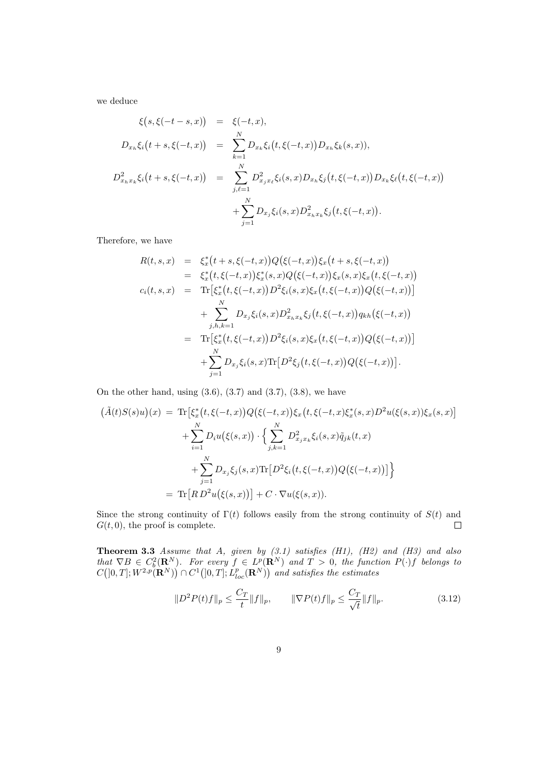we deduce

$$
\xi(s,\xi(-t-s,x)) = \xi(-t,x),
$$
  
\n
$$
D_{x_h}\xi_i(t+s,\xi(-t,x)) = \sum_{k=1}^N D_{x_k}\xi_i(t,\xi(-t,x))D_{x_h}\xi_k(s,x)),
$$
  
\n
$$
D_{x_hx_k}^2\xi_i(t+s,\xi(-t,x)) = \sum_{j,\ell=1}^N D_{x_jx_\ell}^2\xi_i(s,x)D_{x_h}\xi_j(t,\xi(-t,x))D_{x_k}\xi_\ell(t,\xi(-t,x))
$$
  
\n
$$
+ \sum_{j=1}^N D_{x_j}\xi_i(s,x)D_{x_hx_k}^2\xi_j(t,\xi(-t,x)).
$$

Therefore, we have

$$
R(t,s,x) = \xi_x^*(t+s,\xi(-t,x))Q(\xi(-t,x))\xi_x(t+s,\xi(-t,x))
$$
  
\n
$$
= \xi_x^*(t,\xi(-t,x))\xi_x^*(s,x)Q(\xi(-t,x))\xi_x(s,x)\xi_x(t,\xi(-t,x))
$$
  
\n
$$
c_i(t,s,x) = \text{Tr}[\xi_x^*(t,\xi(-t,x))D^2\xi_i(s,x)\xi_x(t,\xi(-t,x))Q(\xi(-t,x))]
$$
  
\n
$$
+ \sum_{j,h,k=1}^N D_{x_j}\xi_i(s,x)D_{x_hx_k}^2\xi_j(t,\xi(-t,x))q_{kh}(\xi(-t,x))
$$
  
\n
$$
= \text{Tr}[\xi_x^*(t,\xi(-t,x))D^2\xi_i(s,x)\xi_x(t,\xi(-t,x))Q(\xi(-t,x))]
$$
  
\n
$$
+ \sum_{j=1}^N D_{x_j}\xi_i(s,x)\text{Tr}[D^2\xi_j(t,\xi(-t,x))Q(\xi(-t,x))].
$$

On the other hand, using  $(3.6)$ ,  $(3.7)$  and  $(3.7)$ ,  $(3.8)$ , we have

$$
\begin{aligned}\n\left(\tilde{A}(t)S(s)u\right)(x) &= \text{Tr}\big[\xi_x^*(t,\xi(-t,x))Q\big(\xi(-t,x)\big)\xi_x\big(t,\xi(-t,x)\xi_x^*(s,x)D^2u(\xi(s,x))\xi_x(s,x)\big] \\
&\quad + \sum_{i=1}^N D_iu\big(\xi(s,x)\big) \cdot \Big\{\sum_{j,k=1}^N D_{x_jx_k}^2\xi_i(s,x)\tilde{q}_{jk}(t,x) \\
&\quad + \sum_{j=1}^N D_{x_j}\xi_j(s,x)\text{Tr}\big[D^2\xi_i\big(t,\xi(-t,x)\big)Q\big(\xi(-t,x)\big)\big]\Big\} \\
&= \text{Tr}\big[R\,D^2u\big(\xi(s,x)\big)\big] + C \cdot \nabla u(\xi(s,x)).\n\end{aligned}
$$

Since the strong continuity of  $\Gamma(t)$  follows easily from the strong continuity of  $S(t)$  and  $G(t, 0)$ , the proof is complete.  $\Box$ 

**Theorem 3.3** Assume that A, given by  $(3.1)$  satisfies  $(H1)$ ,  $(H2)$  and  $(H3)$  and also that  $\nabla B \in C_b^2(\mathbf{R}^N)$ . For every  $f \in L^p(\mathbf{R}^N)$  and  $T > 0$ , the function  $P(\cdot)f$  belongs to  $C([0,T]; W^{2,p}(\mathbf{R}^N)) \cap C^1([0,T]; L^p_{loc}(\mathbf{R}^N))$  and satisfies the estimates

$$
||D^2P(t)f||_p \le \frac{C_T}{t} ||f||_p, \qquad ||\nabla P(t)f||_p \le \frac{C_T}{\sqrt{t}} ||f||_p.
$$
 (3.12)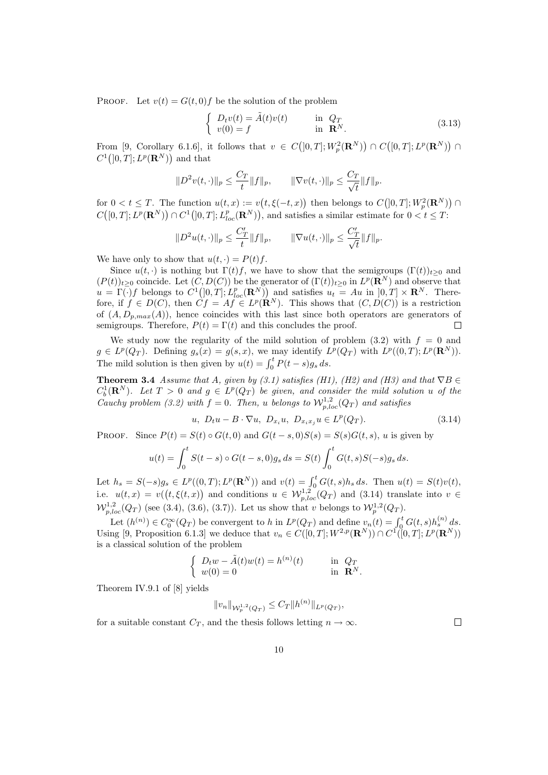PROOF. Let  $v(t) = G(t, 0) f$  be the solution of the problem

$$
\begin{cases}\nD_t v(t) = \tilde{A}(t)v(t) & \text{in } Q_T \\
v(0) = f & \text{in } \mathbf{R}^N.\n\end{cases}
$$
\n(3.13)

From [9, Corollary 6.1.6], it follows that  $v \in C([0,T];W_p^2(\mathbf{R}^N)) \cap C([0,T];L^p(\mathbf{R}^N)) \cap$  $C^1(]0,T]; L^p(\mathbf{R}^N))$  and that

$$
||D^{2}v(t,\cdot)||_{p} \leq \frac{C_{T}}{t}||f||_{p}, \qquad ||\nabla v(t,\cdot)||_{p} \leq \frac{C_{T}}{\sqrt{t}}||f||_{p}.
$$

for  $0 < t \leq T$ . The function  $u(t, x) := v(t, \xi(-t, x))$  then belongs to  $C([0, T]; W_p^2(\mathbf{R}^N))$  $C([0,T];L^p(\mathbf{R}^N)) \cap C^1(]0,T];L^p_{loc}(\mathbf{R}^N)),$  and satisfies a similar estimate for  $0 < t \leq T$ :

$$
||D^2u(t, \cdot)||_p \le \frac{C_T'}{t} ||f||_p, \qquad ||\nabla u(t, \cdot)||_p \le \frac{C_T'}{\sqrt{t}} ||f||_p.
$$

We have only to show that  $u(t, \cdot) = P(t)f$ .

Since  $u(t, \cdot)$  is nothing but  $\Gamma(t) f$ , we have to show that the semigroups  $(\Gamma(t))_{t>0}$  and  $(P(t))_{t\geq 0}$  coincide. Let  $(C, D(C))$  be the generator of  $(\Gamma(t))_{t\geq 0}$  in  $L^p(\mathbf{R}^N)$  and observe that  $u = \Gamma(\cdot) f$  belongs to  $C^1(]0,T]; L^p_{loc}(\mathbf{R}^N)$  and satisfies  $u_t = Au$  in  $]0,T] \times \mathbf{R}^N$ . Therefore, if  $f \in D(C)$ , then  $\dot{C}f = Af \in L^p(\mathbf{R}^N)$ . This shows that  $(C, D(C))$  is a restriction of  $(A, D_{p,max}(A))$ , hence coincides with this last since both operators are generators of semigroups. Therefore,  $P(t) = \Gamma(t)$  and this concludes the proof.  $\Box$ 

We study now the regularity of the mild solution of problem  $(3.2)$  with  $f = 0$  and  $g \in L^p(Q_T)$ . Defining  $g_s(x) = g(s, x)$ , we may identify  $L^p(Q_T)$  with  $L^p((0, T); L^p(\mathbf{R}^N))$ . The mild solution is then given by  $u(t) = \int_0^t P(t - s)g_s ds$ .

**Theorem 3.4** Assume that A, given by (3.1) satisfies (H1), (H2) and (H3) and that  $\nabla B \in$  $C_b^1(\mathbf{R}^N)$ . Let  $T > 0$  and  $g \in L^p(Q_T)$  be given, and consider the mild solution u of the Cauchy problem (3.2) with  $f = 0$ . Then, u belongs to  $\mathcal{W}^{1,2}_{p,loc}(Q_T)$  and satisfies

$$
u, D_t u - B \cdot \nabla u, D_{x_i} u, D_{x_i x_j} u \in L^p(Q_T). \tag{3.14}
$$

,

PROOF. Since  $P(t) = S(t) \circ G(t, 0)$  and  $G(t - s, 0)S(s) = S(s)G(t, s)$ , u is given by

$$
u(t) = \int_0^t S(t-s) \circ G(t-s,0)g_s ds = S(t) \int_0^t G(t,s)S(-s)g_s ds.
$$

Let  $h_s = S(-s)g_s \in L^p((0,T); L^p(\mathbf{R}^N))$  and  $v(t) = \int_0^t G(t,s)h_s ds$ . Then  $u(t) = S(t)v(t)$ , i.e.  $u(t,x) = v((t,\xi(t,x))$  and conditions  $u \in \mathcal{W}_{p,loc}^{1,2}(Q_T)$  and (3.14) translate into  $v \in$  $\mathcal{W}_{p,loc}^{1,2}(Q_T)$  (see (3.4), (3.6), (3.7)). Let us show that v belongs to  $\mathcal{W}_p^{1,2}(Q_T)$ .

Let  $(h^{(n)}) \in C_0^{\infty}(Q_T)$  be convergent to h in  $L^p(Q_T)$  and define  $v_n(t) = \int_0^t G(t, s) h_s^{(n)} ds$ . Using [9, Proposition 6.1.3] we deduce that  $v_n \in C([0,T]; W^{2,p}(\mathbf{R}^N)) \cap C^1([0,T]; L^p(\mathbf{R}^N))$ is a classical solution of the problem

$$
\begin{cases}\nD_t w - \tilde{A}(t)w(t) = h^{(n)}(t) & \text{in } Q_T \\
w(0) = 0 & \text{in } \mathbf{R}^N.\n\end{cases}
$$

Theorem IV.9.1 of [8] yields

$$
||v_n||_{\mathcal{W}_p^{1,2}(Q_T)} \leq C_T ||h^{(n)}||_{L^p(Q_T)}
$$

for a suitable constant  $C_T$ , and the thesis follows letting  $n \to \infty$ .

 $\Box$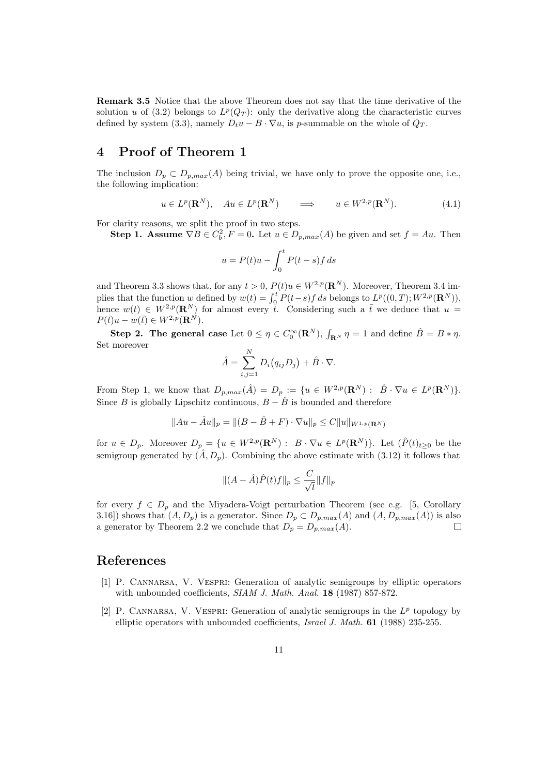Remark 3.5 Notice that the above Theorem does not say that the time derivative of the solution u of (3.2) belongs to  $L^p(Q_T)$ : only the derivative along the characteristic curves defined by system (3.3), namely  $D_t u - B \cdot \nabla u$ , is p-summable on the whole of  $Q_T$ .

## 4 Proof of Theorem 1

The inclusion  $D_p \subset D_{p,max}(A)$  being trivial, we have only to prove the opposite one, i.e., the following implication:

$$
u \in L^p(\mathbf{R}^N)
$$
,  $Au \in L^p(\mathbf{R}^N)$   $\implies$   $u \in W^{2,p}(\mathbf{R}^N)$ . (4.1)

For clarity reasons, we split the proof in two steps.

**Step 1.** Assume  $\nabla B \in C_b^2$ ,  $F = 0$ . Let  $u \in D_{p,max}(A)$  be given and set  $f = Au$ . Then

$$
u = P(t)u - \int_0^t P(t - s)f \, ds
$$

and Theorem 3.3 shows that, for any  $t > 0$ ,  $P(t)u \in W^{2,p}(\mathbf{R}^N)$ . Moreover, Theorem 3.4 implies that the function w defined by  $w(t) = \int_0^t P(t-s)f ds$  belongs to  $L^p((0,T); W^{2,p}(\mathbf{R}^N))$ , hence  $w(t) \in W^{2,p}(\mathbf{R}^N)$  for almost every t. Considering such a t we deduce that  $u =$  $P(\bar{t})u - w(\bar{t}) \in W^{2,p}(\mathbf{R}^N).$ 

**Step 2.** The general case Let  $0 \le \eta \in C_0^{\infty}(\mathbf{R}^N)$ ,  $\int_{\mathbf{R}^N} \eta = 1$  and define  $\hat{B} = B * \eta$ . Set moreover

$$
\hat{A} = \sum_{i,j=1}^{N} D_i (q_{ij} D_j) + \hat{B} \cdot \nabla.
$$

From Step 1, we know that  $D_{p,max}(\hat{A}) = D_p := \{u \in W^{2,p}(\mathbf{R}^N) : \hat{B} \cdot \nabla u \in L^p(\mathbf{R}^N)\}.$ Since B is globally Lipschitz continuous,  $B - \hat{B}$  is bounded and therefore

$$
||Au - \hat{A}u||_p = ||(B - \hat{B} + F) \cdot \nabla u||_p \leq C ||u||_{W^{1,p}(\mathbf{R}^N)}
$$

for  $u \in D_p$ . Moreover  $D_p = \{u \in W^{2,p}(\mathbf{R}^N) : B \cdot \nabla u \in L^p(\mathbf{R}^N)\}\.$  Let  $(\hat{P}(t)_{t \geq 0}$  be the semigroup generated by  $(\hat{A}, D_p)$ . Combining the above estimate with (3.12) it follows that

$$
\|(A - \hat{A})\hat{P}(t)f\|_{p} \le \frac{C}{\sqrt{t}}\|f\|_{p}
$$

for every  $f \in D_p$  and the Miyadera-Voigt perturbation Theorem (see e.g. [5, Corollary 3.16]) shows that  $(A, D_p)$  is a generator. Since  $D_p \subset D_{p,max}(A)$  and  $(A, D_{p,max}(A))$  is also a generator by Theorem 2.2 we conclude that  $D_p = D_{p,max}(A)$ .

#### References

- [1] P. Cannarsa, V. Vespri: Generation of analytic semigroups by elliptic operators with unbounded coefficients, SIAM J. Math. Anal. 18 (1987) 857-872.
- [2] P. CANNARSA, V. VESPRI: Generation of analytic semigroups in the  $L^p$  topology by elliptic operators with unbounded coefficients, Israel J. Math. 61 (1988) 235-255.